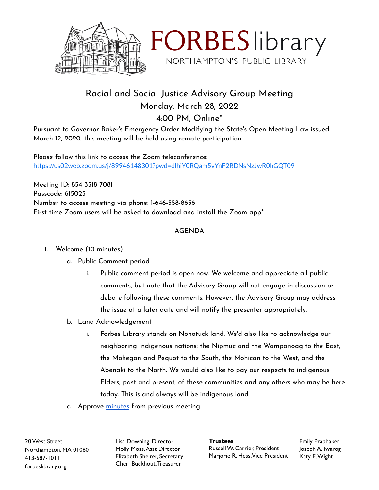



## Racial and Social Justice Advisory Group Meeting Monday, March 28, 2022 4:00 PM, Online\*

Pursuant to Governor Baker's Emergency Order Modifying the State's Open Meeting Law issued March 12, 2020, this meeting will be held using remote participation.

Please follow this link to access the Zoom teleconference: <https://us02web.zoom.us/j/89946148301?pwd=dlhiY0RQam5vYnF2RDNsNzJwR0hGQT09>

Meeting ID: 854 3518 7081 Passcode: 615023 Number to access meeting via phone: 1-646-558-8656 First time Zoom users will be asked to download and install the Zoom app\*

## AGENDA

- 1. Welcome (10 minutes)
	- a. Public Comment period
		- i. Public comment period is open now. We welcome and appreciate all public comments, but note that the Advisory Group will not engage in discussion or debate following these comments. However, the Advisory Group may address the issue at a later date and will notify the presenter appropriately.
	- b. Land Acknowledgement
		- i. Forbes Library stands on Nonotuck land. We'd also like to acknowledge our neighboring Indigenous nations: the Nipmuc and the Wampanoag to the East, the Mohegan and Pequot to the South, the Mohican to the West, and the Abenaki to the North. We would also like to pay our respects to indigenous Elders, past and present, of these communities and any others who may be here today. This is and always will be indigenous land.
	- c. Approve [minutes](https://docs.google.com/document/d/1ewTBrfrUVhZW6U-_RoETaDK8QnybfKME2QajV_6mKG4/edit?usp=sharing) from previous meeting

20West Street Northampton, MA 01060 413-587-1011 forbeslibrary.org

Lisa Downing, Director Molly Moss,Asst Director Elizabeth Sheirer, Secretary Cheri Buckhout,Treasurer

**Trustees** RussellW. Carrier, President Marjorie R. Hess,Vice President Emily Prabhaker Joseph A.Twarog Katy E.Wight